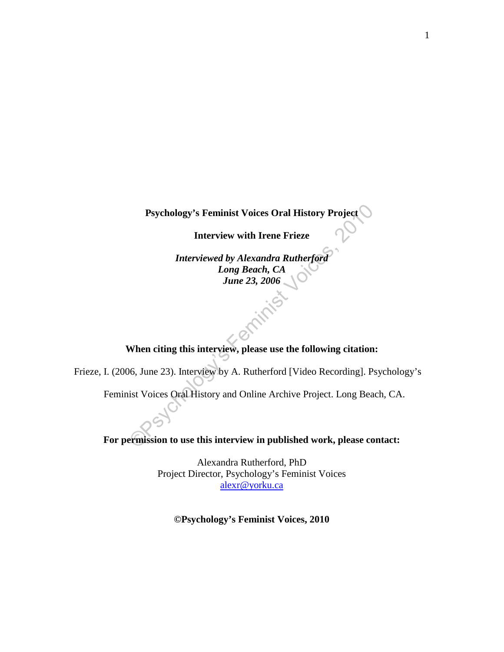**Psychology's Feminist Voices Oral History Project** 

**Interview with Irene Frieze**

Psychology's Feminist Voices Oral History Project<br>
Interview with Irene Frieze<br>
Interviewed by Alexandra Rutherford<br>
Long Beach, CA<br>
June 23, 2006<br>
Mhen citing this interview, please use the following citation:<br>
16, June 2 *Interviewed by Alexandra Rutherford Long Beach, CA June 23, 2006* 

## **When citing this interview, please use the following citation:**

Frieze, I. (2006, June 23). Interview by A. Rutherford [Video Recording]. Psychology's

Feminist Voices Oral History and Online Archive Project. Long Beach, CA.

**For permission to use this interview in published work, please contact:**

Alexandra Rutherford, PhD Project Director, Psychology's Feminist Voices [alexr@yorku.ca](mailto:alexr@yorku.ca)

**©Psychology's Feminist Voices, 2010**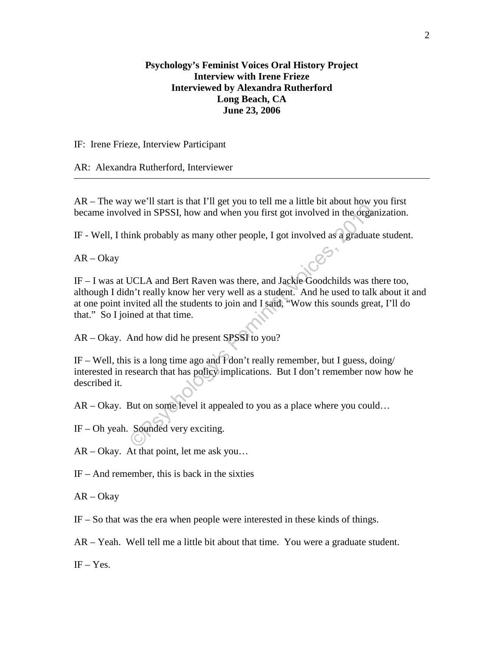## **Psychology's Feminist Voices Oral History Project Interview with Irene Frieze Interviewed by Alexandra Rutherford Long Beach, CA June 23, 2006**

## IF: Irene Frieze, Interview Participant

## AR: Alexandra Rutherford, Interviewer

AR – The way we'll start is that I'll get you to tell me a little bit about how you first became involved in SPSSI, how and when you first got involved in the organization.

IF - Well, I think probably as many other people, I got involved as a graduate student.

AR – Okay

We in State that a riget you to ein its of through the organ<br>ink probably as many other people, I got involved as a graduate<br>ink probably as many other people, I got involved as a graduate<br>UCLA and Bert Raven was there, an IF – I was at UCLA and Bert Raven was there, and Jackie Goodchilds was there too, although I didn't really know her very well as a student. And he used to talk about it and at one point invited all the students to join and I said, "Wow this sounds great, I'll do that." So I joined at that time.

AR – Okay. And how did he present SPSSI to you?

IF – Well, this is a long time ago and I don't really remember, but I guess, doing/ interested in research that has policy implications. But I don't remember now how he described it.

AR – Okay. But on some level it appealed to you as a place where you could…

IF – Oh yeah. Sounded very exciting.

AR – Okay. At that point, let me ask you…

IF – And remember, this is back in the sixties

AR – Okay

IF – So that was the era when people were interested in these kinds of things.

AR – Yeah. Well tell me a little bit about that time. You were a graduate student.

 $IF - Yes.$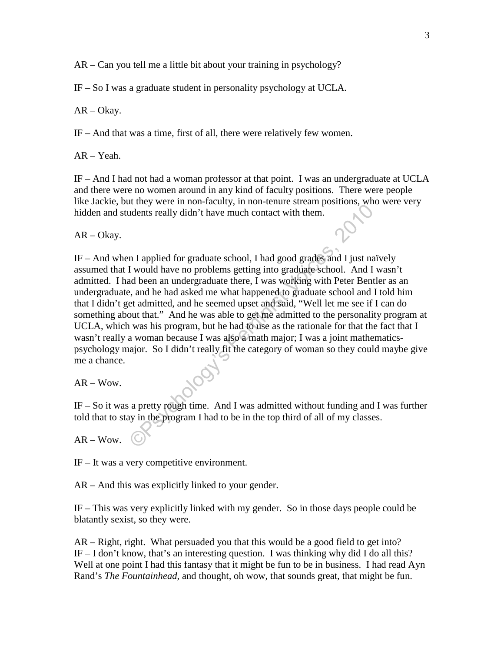AR – Can you tell me a little bit about your training in psychology?

IF – So I was a graduate student in personality psychology at UCLA.

AR – Okay.

IF – And that was a time, first of all, there were relatively few women.

AR – Yeah.

IF – And I had not had a woman professor at that point. I was an undergraduate at UCLA and there were no women around in any kind of faculty positions. There were people like Jackie, but they were in non-faculty, in non-tenure stream positions, who were very hidden and students really didn't have much contact with them.

AR – Okay.

The symbol and the much contact with them.<br>
The symbol didn't have much contact with them.<br>
The symbol didn't have much contact with them.<br>
The symbol different and the seminal and been an undergraduate there are almost th IF – And when I applied for graduate school, I had good grades and I just naïvely assumed that I would have no problems getting into graduate school. And I wasn't admitted. I had been an undergraduate there, I was working with Peter Bentler as an undergraduate, and he had asked me what happened to graduate school and I told him that I didn't get admitted, and he seemed upset and said, "Well let me see if I can do something about that." And he was able to get me admitted to the personality program at UCLA, which was his program, but he had to use as the rationale for that the fact that I wasn't really a woman because I was also a math major; I was a joint mathematicspsychology major. So I didn't really fit the category of woman so they could maybe give me a chance.

 $AR - Wow$ .

IF – So it was a pretty rough time. And I was admitted without funding and I was further told that to stay in the program I had to be in the top third of all of my classes.

 $AR - Wow$ .

IF – It was a very competitive environment.

AR – And this was explicitly linked to your gender.

IF – This was very explicitly linked with my gender. So in those days people could be blatantly sexist, so they were.

AR – Right, right. What persuaded you that this would be a good field to get into? IF  $-I$  don't know, that's an interesting question. I was thinking why did I do all this? Well at one point I had this fantasy that it might be fun to be in business. I had read Ayn Rand's *The Fountainhead*, and thought, oh wow, that sounds great, that might be fun.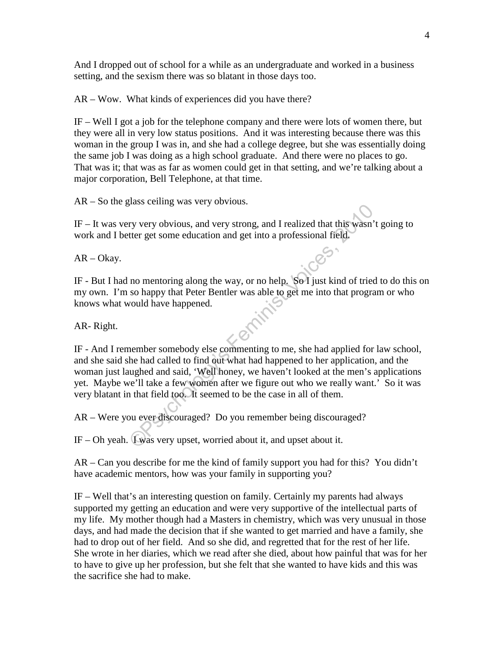And I dropped out of school for a while as an undergraduate and worked in a business setting, and the sexism there was so blatant in those days too.

AR – Wow. What kinds of experiences did you have there?

IF – Well I got a job for the telephone company and there were lots of women there, but they were all in very low status positions. And it was interesting because there was this woman in the group I was in, and she had a college degree, but she was essentially doing the same job I was doing as a high school graduate. And there were no places to go. That was it; that was as far as women could get in that setting, and we're talking about a major corporation, Bell Telephone, at that time.

AR – So the glass ceiling was very obvious.

IF – It was very very obvious, and very strong, and I realized that this wasn't going to work and I better get some education and get into a professional field.

AR – Okay.

IF - But I had no mentoring along the way, or no help. So I just kind of tried to do this on my own. I'm so happy that Peter Bentler was able to get me into that program or who knows what would have happened.

AR- Right.

The system of the system of the system of the system of the system of the system of the some education and get into a professional field.<br>
The mentroring along the way, or no help. So I just kind of tried<br>
so happy that Pe IF - And I remember somebody else commenting to me, she had applied for law school, and she said she had called to find out what had happened to her application, and the woman just laughed and said, 'Well honey, we haven't looked at the men's applications yet. Maybe we'll take a few women after we figure out who we really want.' So it was very blatant in that field too. It seemed to be the case in all of them.

AR – Were you ever discouraged? Do you remember being discouraged?

IF – Oh yeah. I was very upset, worried about it, and upset about it.

AR – Can you describe for me the kind of family support you had for this? You didn't have academic mentors, how was your family in supporting you?

IF – Well that's an interesting question on family. Certainly my parents had always supported my getting an education and were very supportive of the intellectual parts of my life. My mother though had a Masters in chemistry, which was very unusual in those days, and had made the decision that if she wanted to get married and have a family, she had to drop out of her field. And so she did, and regretted that for the rest of her life. She wrote in her diaries, which we read after she died, about how painful that was for her to have to give up her profession, but she felt that she wanted to have kids and this was the sacrifice she had to make.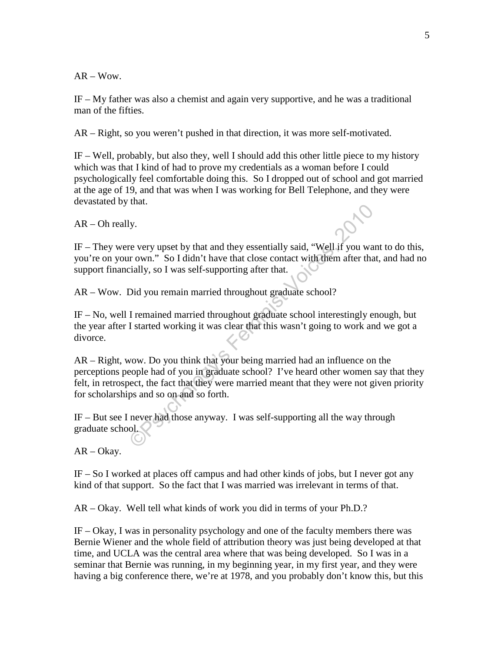$AR - Wow$ .

IF – My father was also a chemist and again very supportive, and he was a traditional man of the fifties.

AR – Right, so you weren't pushed in that direction, it was more self-motivated.

IF – Well, probably, but also they, well I should add this other little piece to my history which was that I kind of had to prove my credentials as a woman before I could psychologically feel comfortable doing this. So I dropped out of school and got married at the age of 19, and that was when I was working for Bell Telephone, and they were devastated by that.

 $AR - Oh$  really.

IF – They were very upset by that and they essentially said, "Well if you want to do this, you're on your own." So I didn't have that close contact with them after that, and had no support financially, so I was self-supporting after that.

AR – Wow. Did you remain married throughout graduate school?

IF – No, well I remained married throughout graduate school interestingly enough, but the year after I started working it was clear that this wasn't going to work and we got a divorce.

Note that they essentially said, "Well if you wand they essentially said, "Well if you want own." So I didn't have that close contact with them after that cially, so I was self-supporting after that.<br>Did you remain married AR – Right, wow. Do you think that your being married had an influence on the perceptions people had of you in graduate school? I've heard other women say that they felt, in retrospect, the fact that they were married meant that they were not given priority for scholarships and so on and so forth.

IF – But see I never had those anyway. I was self-supporting all the way through graduate school.

AR – Okay.

IF – So I worked at places off campus and had other kinds of jobs, but I never got any kind of that support. So the fact that I was married was irrelevant in terms of that.

AR – Okay. Well tell what kinds of work you did in terms of your Ph.D.?

IF – Okay, I was in personality psychology and one of the faculty members there was Bernie Wiener and the whole field of attribution theory was just being developed at that time, and UCLA was the central area where that was being developed. So I was in a seminar that Bernie was running, in my beginning year, in my first year, and they were having a big conference there, we're at 1978, and you probably don't know this, but this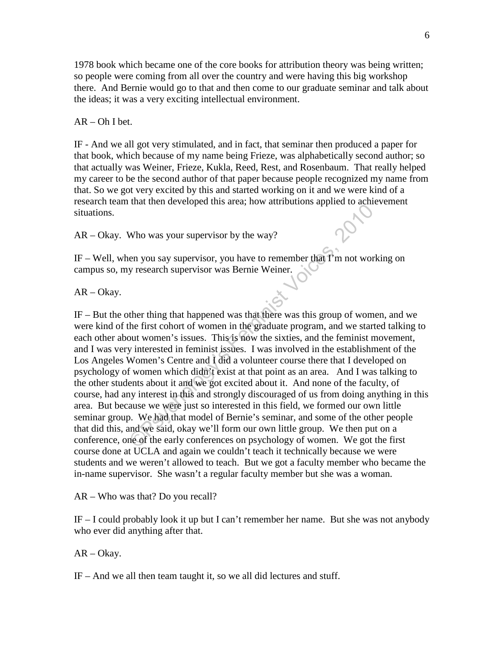1978 book which became one of the core books for attribution theory was being written; so people were coming from all over the country and were having this big workshop there. And Bernie would go to that and then come to our graduate seminar and talk about the ideas; it was a very exciting intellectual environment.

 $AR - Oh I bet.$ 

IF - And we all got very stimulated, and in fact, that seminar then produced a paper for that book, which because of my name being Frieze, was alphabetically second author; so that actually was Weiner, Frieze, Kukla, Reed, Rest, and Rosenbaum. That really helped my career to be the second author of that paper because people recognized my name from that. So we got very excited by this and started working on it and we were kind of a research team that then developed this area; how attributions applied to achievement situations.

AR – Okay. Who was your supervisor by the way?

IF – Well, when you say supervisor, you have to remember that I'm not working on campus so, my research supervisor was Bernie Weiner.

AR – Okay.

Who was your supervisor by the way?<br>
Who was your supervisor, you have to remember that  $\hat{\mathbf{T}}$  m not work<br>
y research supervisor, you have to remember that  $\hat{\mathbf{T}}$  m not work<br>
y research supervisor was Bernie Weiner. IF – But the other thing that happened was that there was this group of women, and we were kind of the first cohort of women in the graduate program, and we started talking to each other about women's issues. This is now the sixties, and the feminist movement, and I was very interested in feminist issues. I was involved in the establishment of the Los Angeles Women's Centre and  $\overline{1}$  did a volunteer course there that I developed on psychology of women which didn't exist at that point as an area. And I was talking to the other students about it and we got excited about it. And none of the faculty, of course, had any interest in this and strongly discouraged of us from doing anything in this area. But because we were just so interested in this field, we formed our own little seminar group. We had that model of Bernie's seminar, and some of the other people that did this, and we said, okay we'll form our own little group. We then put on a conference, one of the early conferences on psychology of women. We got the first course done at UCLA and again we couldn't teach it technically because we were students and we weren't allowed to teach. But we got a faculty member who became the in-name supervisor. She wasn't a regular faculty member but she was a woman.

AR – Who was that? Do you recall?

IF – I could probably look it up but I can't remember her name. But she was not anybody who ever did anything after that.

AR – Okay.

IF – And we all then team taught it, so we all did lectures and stuff.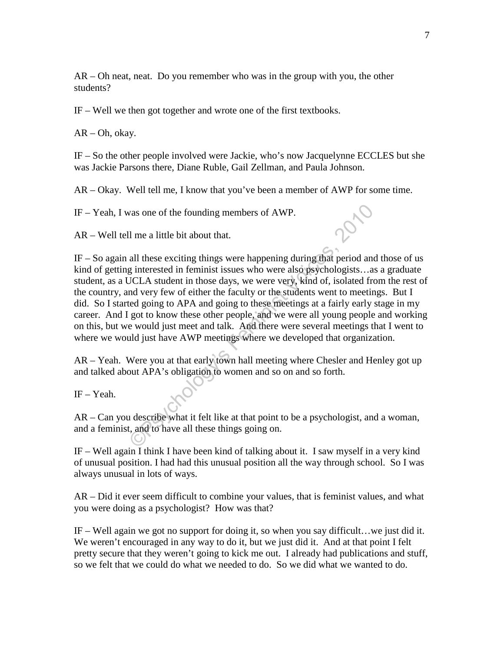AR – Oh neat, neat. Do you remember who was in the group with you, the other students?

IF – Well we then got together and wrote one of the first textbooks.

AR – Oh, okay.

IF – So the other people involved were Jackie, who's now Jacquelynne ECCLES but she was Jackie Parsons there, Diane Ruble, Gail Zellman, and Paula Johnson.

AR – Okay. Well tell me, I know that you've been a member of AWP for some time.

IF – Yeah, I was one of the founding members of AWP.

AR – Well tell me a little bit about that.

vas one of the founding members of AWP.<br>
Il me a little bit about that.<br>
all these exciting things were happening during that period and<br>
ginterested in feminist issues who were also psychologists...as<br>
JCLA student in tho IF – So again all these exciting things were happening during that period and those of us kind of getting interested in feminist issues who were also psychologists... as a graduate student, as a UCLA student in those days, we were very, kind of, isolated from the rest of the country, and very few of either the faculty or the students went to meetings. But I did. So I started going to APA and going to these meetings at a fairly early stage in my career. And I got to know these other people, and we were all young people and working on this, but we would just meet and talk. And there were several meetings that I went to where we would just have AWP meetings where we developed that organization.

AR – Yeah. Were you at that early town hall meeting where Chesler and Henley got up and talked about APA's obligation to women and so on and so forth.

IF – Yeah.

AR – Can you describe what it felt like at that point to be a psychologist, and a woman, and a feminist, and to have all these things going on.

IF – Well again I think I have been kind of talking about it. I saw myself in a very kind of unusual position. I had had this unusual position all the way through school. So I was always unusual in lots of ways.

AR – Did it ever seem difficult to combine your values, that is feminist values, and what you were doing as a psychologist? How was that?

IF – Well again we got no support for doing it, so when you say difficult…we just did it. We weren't encouraged in any way to do it, but we just did it. And at that point I felt pretty secure that they weren't going to kick me out. I already had publications and stuff, so we felt that we could do what we needed to do. So we did what we wanted to do.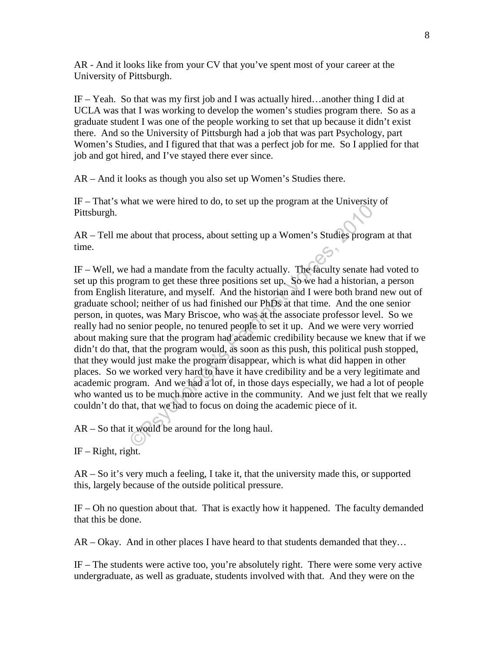AR - And it looks like from your CV that you've spent most of your career at the University of Pittsburgh.

IF – Yeah. So that was my first job and I was actually hired…another thing I did at UCLA was that I was working to develop the women's studies program there. So as a graduate student I was one of the people working to set that up because it didn't exist there. And so the University of Pittsburgh had a job that was part Psychology, part Women's Studies, and I figured that that was a perfect job for me. So I applied for that job and got hired, and I've stayed there ever since.

AR – And it looks as though you also set up Women's Studies there.

IF – That's what we were hired to do, to set up the program at the University of Pittsburgh.

AR – Tell me about that process, about setting up a Women's Studies program at that time.

about that process, about setting up a Women's Studies program<br>about that process, about setting up a Women's Studies program<br>had a mandate from the faculty actually. The faculty senate ha<br>gram to get these three positions IF – Well, we had a mandate from the faculty actually. The faculty senate had voted to set up this program to get these three positions set up. So we had a historian, a person from English literature, and myself. And the historian and I were both brand new out of graduate school; neither of us had finished our PhDs at that time. And the one senior person, in quotes, was Mary Briscoe, who was at the associate professor level. So we really had no senior people, no tenured people to set it up. And we were very worried about making sure that the program had academic credibility because we knew that if we didn't do that, that the program would, as soon as this push, this political push stopped, that they would just make the program disappear, which is what did happen in other places. So we worked very hard to have it have credibility and be a very legitimate and academic program. And we had a lot of, in those days especially, we had a lot of people who wanted us to be much more active in the community. And we just felt that we really couldn't do that, that we had to focus on doing the academic piece of it.

AR – So that it would be around for the long haul.

IF – Right, right.

AR – So it's very much a feeling, I take it, that the university made this, or supported this, largely because of the outside political pressure.

IF – Oh no question about that. That is exactly how it happened. The faculty demanded that this be done.

AR – Okay. And in other places I have heard to that students demanded that they…

IF – The students were active too, you're absolutely right. There were some very active undergraduate, as well as graduate, students involved with that. And they were on the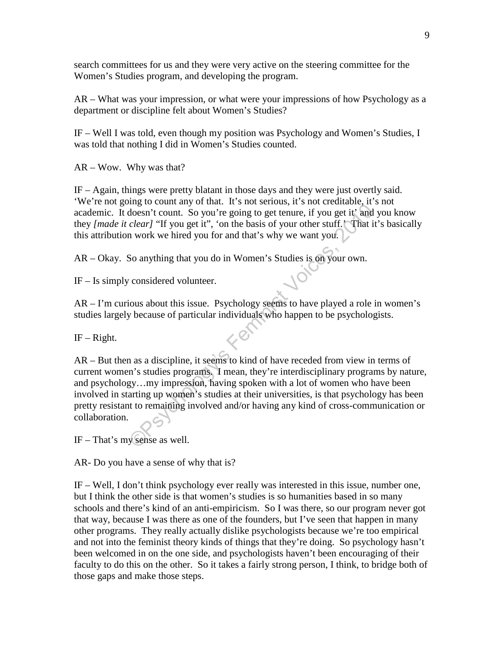search committees for us and they were very active on the steering committee for the Women's Studies program, and developing the program.

AR – What was your impression, or what were your impressions of how Psychology as a department or discipline felt about Women's Studies?

IF – Well I was told, even though my position was Psychology and Women's Studies, I was told that nothing I did in Women's Studies counted.

AR – Wow. Why was that?

IF – Again, things were pretty blatant in those days and they were just overtly said. 'We're not going to count any of that. It's not serious, it's not creditable, it's not academic. It doesn't count. So you're going to get tenure, if you get it' and you know they *[made it clear]* "If you get it", 'on the basis of your other stuff.' That it's basically this attribution work we hired you for and that's why we want you.

AR – Okay. So anything that you do in Women's Studies is on your own.

IF – Is simply considered volunteer.

AR – I'm curious about this issue. Psychology seems to have played a role in women's studies largely because of particular individuals who happen to be psychologists.

 $IF - Right.$ 

We count the bound in the bound of the bound of the product of the product of the product of the product it' and joint of the basis of your other stuff. That it *add* joint work we hired you for and that's why we want you. AR – But then as a discipline, it seems to kind of have receded from view in terms of current women's studies programs. I mean, they're interdisciplinary programs by nature, and psychology…my impression, having spoken with a lot of women who have been involved in starting up women's studies at their universities, is that psychology has been pretty resistant to remaining involved and/or having any kind of cross-communication or collaboration.

IF – That's my sense as well.

AR- Do you have a sense of why that is?

IF – Well, I don't think psychology ever really was interested in this issue, number one, but I think the other side is that women's studies is so humanities based in so many schools and there's kind of an anti-empiricism. So I was there, so our program never got that way, because I was there as one of the founders, but I've seen that happen in many other programs. They really actually dislike psychologists because we're too empirical and not into the feminist theory kinds of things that they're doing. So psychology hasn't been welcomed in on the one side, and psychologists haven't been encouraging of their faculty to do this on the other. So it takes a fairly strong person, I think, to bridge both of those gaps and make those steps.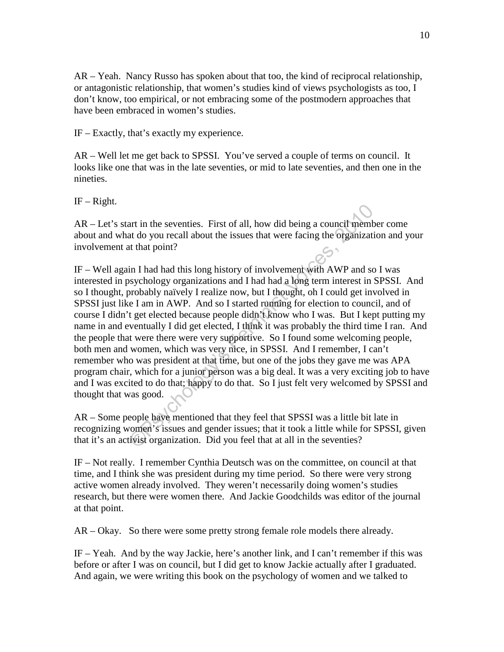AR – Yeah. Nancy Russo has spoken about that too, the kind of reciprocal relationship, or antagonistic relationship, that women's studies kind of views psychologists as too, I don't know, too empirical, or not embracing some of the postmodern approaches that have been embraced in women's studies.

IF – Exactly, that's exactly my experience.

AR – Well let me get back to SPSSI. You've served a couple of terms on council. It looks like one that was in the late seventies, or mid to late seventies, and then one in the nineties.

 $IF - Right.$ 

AR – Let's start in the seventies. First of all, how did being a council member come about and what do you recall about the issues that were facing the organization and your involvement at that point?

and the seventies. First of all, how did being a council members and do you recall about the issues that were facing the organization at that point?<br>
in I had had this long history of involvement with AWP and so<br>
sychology IF – Well again I had had this long history of involvement with AWP and so I was interested in psychology organizations and I had had a long term interest in SPSSI. And so I thought, probably naïvely I realize now, but I thought, oh I could get involved in SPSSI just like I am in AWP. And so I started running for election to council, and of course I didn't get elected because people didn't know who I was. But I kept putting my name in and eventually I did get elected, I think it was probably the third time I ran. And the people that were there were very supportive. So I found some welcoming people, both men and women, which was very nice, in SPSSI. And I remember, I can't remember who was president at that time, but one of the jobs they gave me was APA program chair, which for a junior person was a big deal. It was a very exciting job to have and I was excited to do that; happy to do that. So I just felt very welcomed by SPSSI and thought that was good.

AR – Some people have mentioned that they feel that SPSSI was a little bit late in recognizing women's issues and gender issues; that it took a little while for SPSSI, given that it's an activist organization. Did you feel that at all in the seventies?

IF – Not really. I remember Cynthia Deutsch was on the committee, on council at that time, and I think she was president during my time period. So there were very strong active women already involved. They weren't necessarily doing women's studies research, but there were women there. And Jackie Goodchilds was editor of the journal at that point.

AR – Okay. So there were some pretty strong female role models there already.

IF – Yeah. And by the way Jackie, here's another link, and I can't remember if this was before or after I was on council, but I did get to know Jackie actually after I graduated. And again, we were writing this book on the psychology of women and we talked to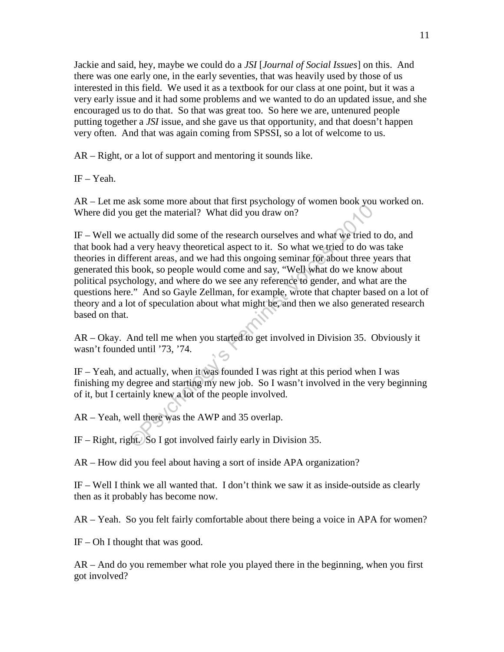Jackie and said, hey, maybe we could do a *JSI* [*Journal of Social Issues*] on this. And there was one early one, in the early seventies, that was heavily used by those of us interested in this field. We used it as a textbook for our class at one point, but it was a very early issue and it had some problems and we wanted to do an updated issue, and she encouraged us to do that. So that was great too. So here we are, untenured people putting together a *JSI* issue, and she gave us that opportunity, and that doesn't happen very often. And that was again coming from SPSSI, so a lot of welcome to us.

AR – Right, or a lot of support and mentoring it sounds like.

IF – Yeah.

AR – Let me ask some more about that first psychology of women book you worked on. Where did you get the material? What did you draw on?

actually did some of the research ourselves and what we tried to a very heavy theoretical aspect to it. So what we tried to do wiferent areas, and we had this ongoing seminar for about three y book, so people would come a IF – Well we actually did some of the research ourselves and what we tried to do, and that book had a very heavy theoretical aspect to it. So what we tried to do was take theories in different areas, and we had this ongoing seminar for about three years that generated this book, so people would come and say, "Well what do we know about political psychology, and where do we see any reference to gender, and what are the questions here." And so Gayle Zellman, for example, wrote that chapter based on a lot of theory and a lot of speculation about what might be, and then we also generated research based on that.

AR – Okay. And tell me when you started to get involved in Division 35. Obviously it wasn't founded until '73, '74.

IF – Yeah, and actually, when it was founded I was right at this period when I was finishing my degree and starting my new job. So I wasn't involved in the very beginning of it, but I certainly knew a lot of the people involved.

AR – Yeah, well there was the AWP and 35 overlap.

IF – Right, right. So I got involved fairly early in Division 35.

AR – How did you feel about having a sort of inside APA organization?

IF – Well I think we all wanted that. I don't think we saw it as inside-outside as clearly then as it probably has become now.

AR – Yeah. So you felt fairly comfortable about there being a voice in APA for women?

 $IF - Oh I$  thought that was good.

AR – And do you remember what role you played there in the beginning, when you first got involved?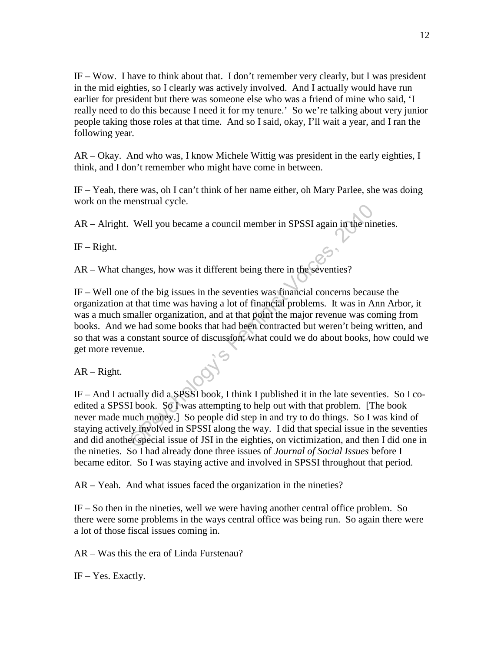IF – Wow. I have to think about that. I don't remember very clearly, but I was president in the mid eighties, so I clearly was actively involved. And I actually would have run earlier for president but there was someone else who was a friend of mine who said, 'I really need to do this because I need it for my tenure.' So we're talking about very junior people taking those roles at that time. And so I said, okay, I'll wait a year, and I ran the following year.

AR – Okay. And who was, I know Michele Wittig was president in the early eighties, I think, and I don't remember who might have come in between.

IF – Yeah, there was, oh I can't think of her name either, oh Mary Parlee, she was doing work on the menstrual cycle.

AR – Alright. Well you became a council member in SPSSI again in the nineties.

 $IF - Right.$ 

AR – What changes, how was it different being there in the seventies?

Well you became a council member in SPSSI again in the nin<br>
nanges, how was it different being there in the seventies?<br>
of the big issues in the seventies was financial concerns becaus<br>
at that time was having a lot of fin IF – Well one of the big issues in the seventies was financial concerns because the organization at that time was having a lot of financial problems. It was in Ann Arbor, it was a much smaller organization, and at that point the major revenue was coming from books. And we had some books that had been contracted but weren't being written, and so that was a constant source of discussion; what could we do about books, how could we get more revenue.

AR – Right.

IF – And I actually did a SPSSI book, I think I published it in the late seventies. So I coedited a SPSSI book. So I was attempting to help out with that problem. [The book never made much money.] So people did step in and try to do things. So I was kind of staying actively involved in SPSSI along the way. I did that special issue in the seventies and did another special issue of JSI in the eighties, on victimization, and then I did one in the nineties. So I had already done three issues of *Journal of Social Issues* before I became editor. So I was staying active and involved in SPSSI throughout that period.

AR – Yeah. And what issues faced the organization in the nineties?

IF – So then in the nineties, well we were having another central office problem. So there were some problems in the ways central office was being run. So again there were a lot of those fiscal issues coming in.

AR – Was this the era of Linda Furstenau?

IF – Yes. Exactly.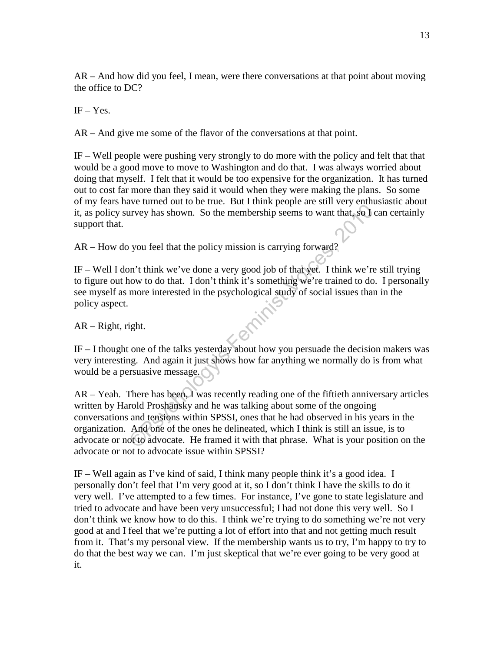AR – And how did you feel, I mean, were there conversations at that point about moving the office to DC?

 $IF - Yes.$ 

AR – And give me some of the flavor of the conversations at that point.

IF – Well people were pushing very strongly to do more with the policy and felt that that would be a good move to move to Washington and do that. I was always worried about doing that myself. I felt that it would be too expensive for the organization. It has turned out to cost far more than they said it would when they were making the plans. So some of my fears have turned out to be true. But I think people are still very enthusiastic about it, as policy survey has shown. So the membership seems to want that, so I can certainly support that.

AR – How do you feel that the policy mission is carrying forward?

IF – Well I don't think we've done a very good job of that yet. I think we're still trying to figure out how to do that. I don't think it's something we're trained to do. I personally see myself as more interested in the psychological study of social issues than in the policy aspect.

AR – Right, right.

IF – I thought one of the talks yesterday about how you persuade the decision makers was very interesting. And again it just shows how far anything we normally do is from what would be a persuasive message.

The state of the policy mission is carrying forward?<br>
The shake we have that the policy mission is carrying forward?<br>
The shake we done a very good job of that yet. I think we're tower to do that. I don't think it's someth AR – Yeah. There has been, I was recently reading one of the fiftieth anniversary articles written by Harold Proshansky and he was talking about some of the ongoing conversations and tensions within SPSSI, ones that he had observed in his years in the organization. And one of the ones he delineated, which I think is still an issue, is to advocate or not to advocate. He framed it with that phrase. What is your position on the advocate or not to advocate issue within SPSSI?

IF – Well again as I've kind of said, I think many people think it's a good idea. I personally don't feel that I'm very good at it, so I don't think I have the skills to do it very well. I've attempted to a few times. For instance, I've gone to state legislature and tried to advocate and have been very unsuccessful; I had not done this very well. So I don't think we know how to do this. I think we're trying to do something we're not very good at and I feel that we're putting a lot of effort into that and not getting much result from it. That's my personal view. If the membership wants us to try, I'm happy to try to do that the best way we can. I'm just skeptical that we're ever going to be very good at it.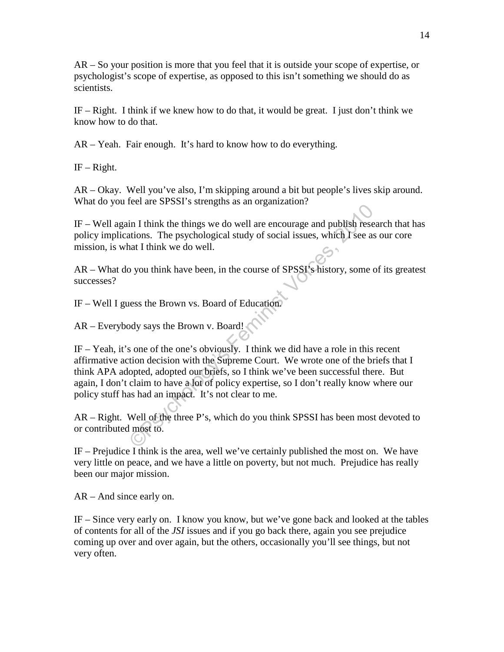AR – So your position is more that you feel that it is outside your scope of expertise, or psychologist's scope of expertise, as opposed to this isn't something we should do as scientists.

IF – Right. I think if we knew how to do that, it would be great. I just don't think we know how to do that.

AR – Yeah. Fair enough. It's hard to know how to do everything.

 $IF - Right.$ 

AR – Okay. Well you've also, I'm skipping around a bit but people's lives skip around. What do you feel are SPSSI's strengths as an organization?

IF – Well again I think the things we do well are encourage and publish research that has policy implications. The psychological study of social issues, which I see as our core mission, is what I think we do well.

AR – What do you think have been, in the course of SPSSI's history, some of its greatest successes?

IF – Well I guess the Brown vs. Board of Education.

AR – Everybody says the Brown v. Board!

The state of SSF's steel, and we are encourage and publish researations. The psychological study of social issues, which I see as a at I think we do well.<br>
D you think have been, in the course of SPSSI's history, some of s IF – Yeah, it's one of the one's obviously. I think we did have a role in this recent affirmative action decision with the Supreme Court. We wrote one of the briefs that I think APA adopted, adopted our briefs, so I think we've been successful there. But again, I don't claim to have a lot of policy expertise, so I don't really know where our policy stuff has had an impact. It's not clear to me.

AR – Right. Well of the three P's, which do you think SPSSI has been most devoted to or contributed most to.

IF – Prejudice I think is the area, well we've certainly published the most on. We have very little on peace, and we have a little on poverty, but not much. Prejudice has really been our major mission.

AR – And since early on.

IF – Since very early on. I know you know, but we've gone back and looked at the tables of contents for all of the *JSI* issues and if you go back there, again you see prejudice coming up over and over again, but the others, occasionally you'll see things, but not very often.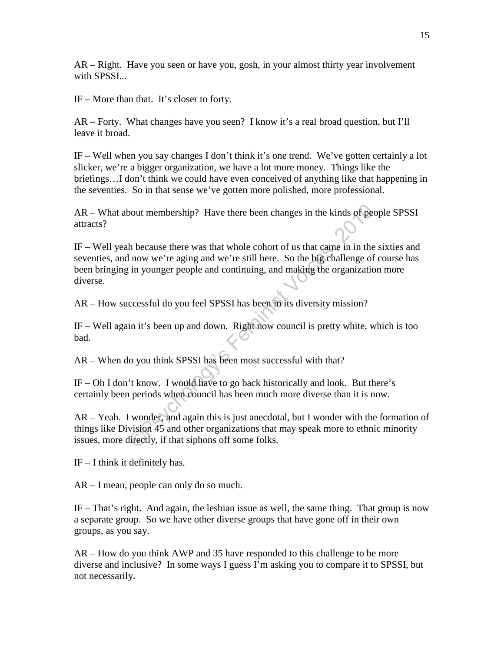AR – Right. Have you seen or have you, gosh, in your almost thirty year involvement with SPSSI...

IF – More than that. It's closer to forty.

AR – Forty. What changes have you seen? I know it's a real broad question, but I'll leave it broad.

IF – Well when you say changes I don't think it's one trend. We've gotten certainly a lot slicker, we're a bigger organization, we have a lot more money. Things like the briefings…I don't think we could have even conceived of anything like that happening in the seventies. So in that sense we've gotten more polished, more professional.

AR – What about membership? Have there been changes in the kinds of people SPSSI attracts?

Not membership? Have there been changes in the kinds of peo<br>
h because there was that whole cohort of us that came in in the<br>
now we're aging and we're still here. So the big challenge of<br>
in younger people and continuing, IF – Well yeah because there was that whole cohort of us that came in in the sixties and seventies, and now we're aging and we're still here. So the big challenge of course has been bringing in younger people and continuing, and making the organization more diverse.

AR – How successful do you feel SPSSI has been in its diversity mission?

IF – Well again it's been up and down. Right now council is pretty white, which is too bad.

AR – When do you think SPSSI has been most successful with that?

IF – Oh I don't know. I would have to go back historically and look. But there's certainly been periods when council has been much more diverse than it is now.

AR – Yeah. I wonder, and again this is just anecdotal, but I wonder with the formation of things like Division 45 and other organizations that may speak more to ethnic minority issues, more directly, if that siphons off some folks.

 $IF - I$  think it definitely has.

AR – I mean, people can only do so much.

IF – That's right. And again, the lesbian issue as well, the same thing. That group is now a separate group. So we have other diverse groups that have gone off in their own groups, as you say.

AR – How do you think AWP and 35 have responded to this challenge to be more diverse and inclusive? In some ways I guess I'm asking you to compare it to SPSSI, but not necessarily.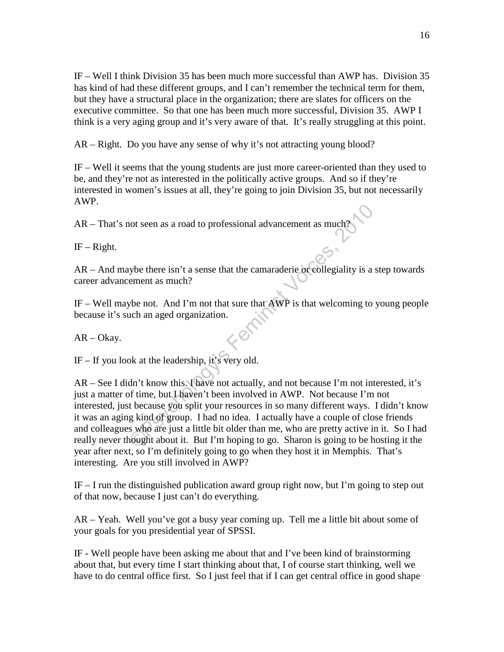IF – Well I think Division 35 has been much more successful than AWP has. Division 35 has kind of had these different groups, and I can't remember the technical term for them, but they have a structural place in the organization; there are slates for officers on the executive committee. So that one has been much more successful, Division 35. AWP I think is a very aging group and it's very aware of that. It's really struggling at this point.

AR – Right. Do you have any sense of why it's not attracting young blood?

IF – Well it seems that the young students are just more career-oriented than they used to be, and they're not as interested in the politically active groups. And so if they're interested in women's issues at all, they're going to join Division 35, but not necessarily AWP.

AR – That's not seen as a road to professional advancement as much?

 $IF - Right.$ 

AR – And maybe there isn't a sense that the camaraderie or collegiality is a step towards career advancement as much?

IF – Well maybe not. And I'm not that sure that AWP is that welcoming to young people because it's such an aged organization.

AR – Okay.

 $IF - If you look at the leadership, it's very old.$ 

Not seen as a road to professional advancement as much?<br>
Suppose there isn't a sense that the camaraderie or collegiality is a sement as much?<br>
Velo not. And I'm not that sure that  $AWP$  is that welcoming to y<br>
uch an aged AR – See I didn't know this. I have not actually, and not because I'm not interested, it's just a matter of time, but I haven't been involved in AWP. Not because I'm not interested, just because you split your resources in so many different ways. I didn't know it was an aging kind of group. I had no idea. I actually have a couple of close friends and colleagues who are just a little bit older than me, who are pretty active in it. So I had really never thought about it. But I'm hoping to go. Sharon is going to be hosting it the year after next, so I'm definitely going to go when they host it in Memphis. That's interesting. Are you still involved in AWP?

IF – I run the distinguished publication award group right now, but I'm going to step out of that now, because I just can't do everything.

AR – Yeah. Well you've got a busy year coming up. Tell me a little bit about some of your goals for you presidential year of SPSSI.

IF - Well people have been asking me about that and I've been kind of brainstorming about that, but every time I start thinking about that, I of course start thinking, well we have to do central office first. So I just feel that if I can get central office in good shape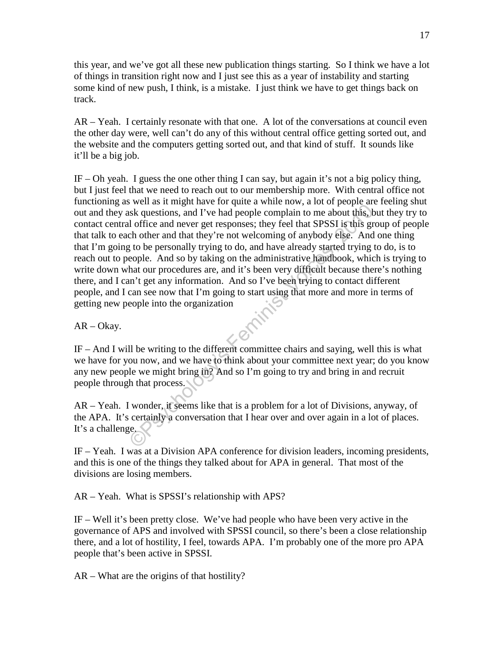this year, and we've got all these new publication things starting. So I think we have a lot of things in transition right now and I just see this as a year of instability and starting some kind of new push, I think, is a mistake. I just think we have to get things back on track.

AR – Yeah. I certainly resonate with that one. A lot of the conversations at council even the other day were, well can't do any of this without central office getting sorted out, and the website and the computers getting sorted out, and that kind of stuff. It sounds like it'll be a big job.

We we are impact and the different committee that so, we can be the propose of the propose and the differe and never get responses; they feel that SPSSI is this green of the other and that they're not welcoming of anybody IF – Oh yeah. I guess the one other thing I can say, but again it's not a big policy thing, but I just feel that we need to reach out to our membership more. With central office not functioning as well as it might have for quite a while now, a lot of people are feeling shut out and they ask questions, and I've had people complain to me about this, but they try to contact central office and never get responses; they feel that SPSSI is this group of people that talk to each other and that they're not welcoming of anybody else. And one thing that I'm going to be personally trying to do, and have already started trying to do, is to reach out to people. And so by taking on the administrative handbook, which is trying to write down what our procedures are, and it's been very difficult because there's nothing there, and I can't get any information. And so I've been trying to contact different people, and I can see now that I'm going to start using that more and more in terms of getting new people into the organization

AR – Okay.

IF – And I will be writing to the different committee chairs and saying, well this is what we have for you now, and we have to think about your committee next year; do you know any new people we might bring in? And so I'm going to try and bring in and recruit people through that process.

AR – Yeah. I wonder, it seems like that is a problem for a lot of Divisions, anyway, of the APA. It's certainly a conversation that I hear over and over again in a lot of places. It's a challenge.

IF – Yeah. I was at a Division APA conference for division leaders, incoming presidents, and this is one of the things they talked about for APA in general. That most of the divisions are losing members.

AR – Yeah. What is SPSSI's relationship with APS?

IF – Well it's been pretty close. We've had people who have been very active in the governance of APS and involved with SPSSI council, so there's been a close relationship there, and a lot of hostility, I feel, towards APA. I'm probably one of the more pro APA people that's been active in SPSSI.

AR – What are the origins of that hostility?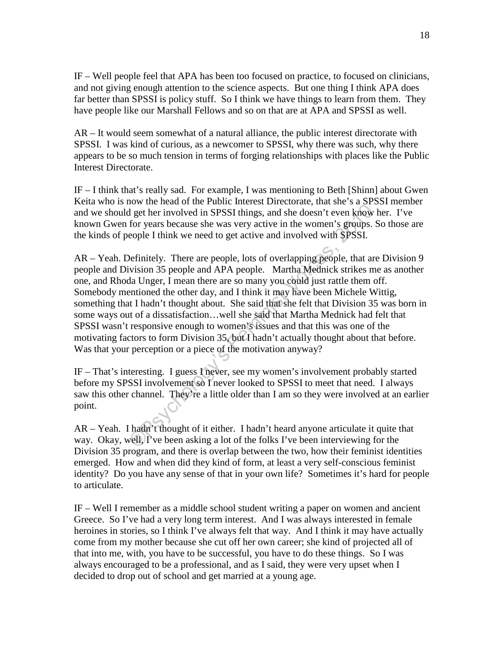IF – Well people feel that APA has been too focused on practice, to focused on clinicians, and not giving enough attention to the science aspects. But one thing I think APA does far better than SPSSI is policy stuff. So I think we have things to learn from them. They have people like our Marshall Fellows and so on that are at APA and SPSSI as well.

AR – It would seem somewhat of a natural alliance, the public interest directorate with SPSSI. I was kind of curious, as a newcomer to SPSSI, why there was such, why there appears to be so much tension in terms of forging relationships with places like the Public Interest Directorate.

IF – I think that's really sad. For example, I was mentioning to Beth [Shinn] about Gwen Keita who is now the head of the Public Interest Directorate, that she's a SPSSI member and we should get her involved in SPSSI things, and she doesn't even know her. I've known Gwen for years because she was very active in the women's groups. So those are the kinds of people I think we need to get active and involved with SPSSI.

For the season of the vent season and the season and the season and the season it even know for years because she was very active in the women's groups. Seeple I think we need to get active and involved with SPSSI.<br>Definit AR – Yeah. Definitely. There are people, lots of overlapping people, that are Division 9 people and Division 35 people and APA people. Martha Mednick strikes me as another one, and Rhoda Unger, I mean there are so many you could just rattle them off. Somebody mentioned the other day, and I think it may have been Michele Wittig, something that I hadn't thought about. She said that she felt that Division 35 was born in some ways out of a dissatisfaction…well she said that Martha Mednick had felt that SPSSI wasn't responsive enough to women's issues and that this was one of the motivating factors to form Division 35, but I hadn't actually thought about that before. Was that your perception or a piece of the motivation anyway?

IF – That's interesting. I guess I never, see my women's involvement probably started before my SPSSI involvement so I never looked to SPSSI to meet that need. I always saw this other channel. They're a little older than I am so they were involved at an earlier point.

AR – Yeah. I hadn't thought of it either. I hadn't heard anyone articulate it quite that way. Okay, well, I've been asking a lot of the folks I've been interviewing for the Division 35 program, and there is overlap between the two, how their feminist identities emerged. How and when did they kind of form, at least a very self-conscious feminist identity? Do you have any sense of that in your own life? Sometimes it's hard for people to articulate.

IF – Well I remember as a middle school student writing a paper on women and ancient Greece. So I've had a very long term interest. And I was always interested in female heroines in stories, so I think I've always felt that way. And I think it may have actually come from my mother because she cut off her own career; she kind of projected all of that into me, with, you have to be successful, you have to do these things. So I was always encouraged to be a professional, and as I said, they were very upset when I decided to drop out of school and get married at a young age.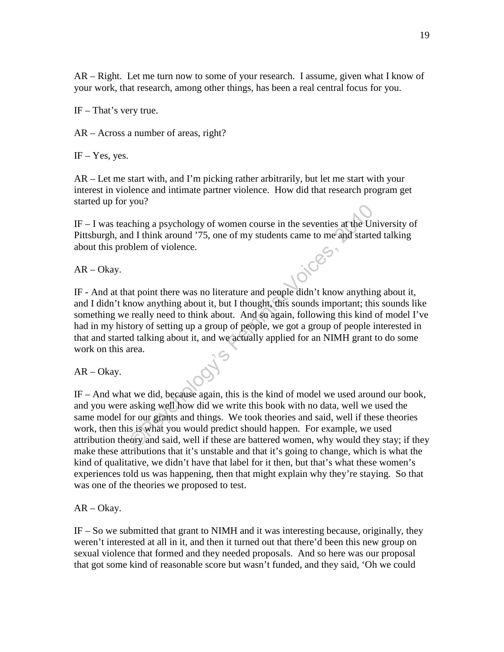AR – Right. Let me turn now to some of your research. I assume, given what I know of your work, that research, among other things, has been a real central focus for you.

IF – That's very true.

AR – Across a number of areas, right?

 $IF - Yes$ , yes.

AR – Let me start with, and I'm picking rather arbitrarily, but let me start with your interest in violence and intimate partner violence. How did that research program get started up for you?

IF – I was teaching a psychology of women course in the seventies at the University of Pittsburgh, and I think around '75, one of my students came to me and started talking about this problem of violence.

AR – Okay.

Socialized as a posychology of women course in the seventies at the Un<br>
d I think around '75, one of my students came to me and started<br>
blem of violence.<br>
at point there was no literature and people didn't know anything<br> IF - And at that point there was no literature and people didn't know anything about it, and I didn't know anything about it, but I thought, this sounds important; this sounds like something we really need to think about. And so again, following this kind of model I've had in my history of setting up a group of people, we got a group of people interested in that and started talking about it, and we actually applied for an NIMH grant to do some work on this area.

AR – Okay.

IF – And what we did, because again, this is the kind of model we used around our book, and you were asking well how did we write this book with no data, well we used the same model for our grants and things. We took theories and said, well if these theories work, then this is what you would predict should happen. For example, we used attribution theory and said, well if these are battered women, why would they stay; if they make these attributions that it's unstable and that it's going to change, which is what the kind of qualitative, we didn't have that label for it then, but that's what these women's experiences told us was happening, then that might explain why they're staying. So that was one of the theories we proposed to test.

AR – Okay.

IF – So we submitted that grant to NIMH and it was interesting because, originally, they weren't interested at all in it, and then it turned out that there'd been this new group on sexual violence that formed and they needed proposals. And so here was our proposal that got some kind of reasonable score but wasn't funded, and they said, 'Oh we could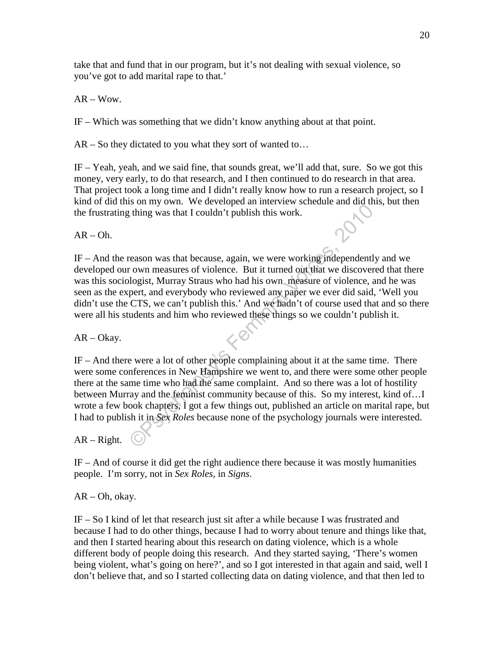take that and fund that in our program, but it's not dealing with sexual violence, so you've got to add marital rape to that.'

AR – Wow.

IF – Which was something that we didn't know anything about at that point.

AR – So they dictated to you what they sort of wanted to…

IF – Yeah, yeah, and we said fine, that sounds great, we'll add that, sure. So we got this money, very early, to do that research, and I then continued to do research in that area. That project took a long time and I didn't really know how to run a research project, so I kind of did this on my own. We developed an interview schedule and did this, but then the frustrating thing was that I couldn't publish this work.

 $AR - Oh.$ 

IF – And the reason was that because, again, we were working independently and we developed our own measures of violence. But it turned out that we discovered that there was this sociologist, Murray Straus who had his own measure of violence, and he was seen as the expert, and everybody who reviewed any paper we ever did said, 'Well you didn't use the CTS, we can't publish this.' And we hadn't of course used that and so there were all his students and him who reviewed these things so we couldn't publish it.

AR – Okay.

The system was that I couldn't publish this work.<br>
Thing was that I couldn't publish this work.<br>
Thing was that I couldn't publish this work.<br>
Thing was whot head is own measure of violence, and<br>
pert, and every body who r IF – And there were a lot of other people complaining about it at the same time. There were some conferences in New Hampshire we went to, and there were some other people there at the same time who had the same complaint. And so there was a lot of hostility between Murray and the feminist community because of this. So my interest, kind of…I wrote a few book chapters, I got a few things out, published an article on marital rape, but I had to publish it in *Sex Roles* because none of the psychology journals were interested.

AR – Right.

IF – And of course it did get the right audience there because it was mostly humanities people. I'm sorry, not in *Sex Roles*, in *Signs*.

AR – Oh, okay.

IF – So I kind of let that research just sit after a while because I was frustrated and because I had to do other things, because I had to worry about tenure and things like that, and then I started hearing about this research on dating violence, which is a whole different body of people doing this research. And they started saying, 'There's women being violent, what's going on here?', and so I got interested in that again and said, well I don't believe that, and so I started collecting data on dating violence, and that then led to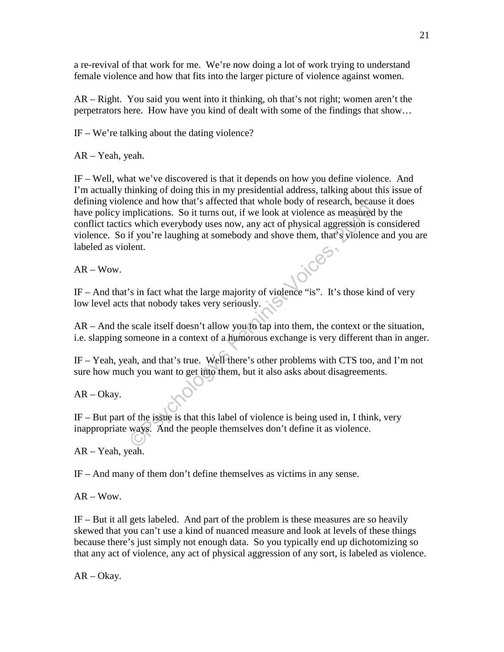a re-revival of that work for me. We're now doing a lot of work trying to understand female violence and how that fits into the larger picture of violence against women.

AR – Right. You said you went into it thinking, oh that's not right; women aren't the perpetrators here. How have you kind of dealt with some of the findings that show…

IF – We're talking about the dating violence?

AR – Yeah, yeah.

The main of same of the same of the problems. So it turns out, if we look at violence as measured s which everybody uses now, any act of physical aggression is if you're laughing at somebody and shove them, that's violence IF – Well, what we've discovered is that it depends on how you define violence. And I'm actually thinking of doing this in my presidential address, talking about this issue of defining violence and how that's affected that whole body of research, because it does have policy implications. So it turns out, if we look at violence as measured by the conflict tactics which everybody uses now, any act of physical aggression is considered violence. So if you're laughing at somebody and shove them, that's violence and you are labeled as violent.

 $AR - Wow$ .

IF – And that's in fact what the large majority of violence "is". It's those kind of very low level acts that nobody takes very seriously.

AR – And the scale itself doesn't allow you to tap into them, the context or the situation, i.e. slapping someone in a context of a humorous exchange is very different than in anger.

IF – Yeah, yeah, and that's true. Well there's other problems with CTS too, and I'm not sure how much you want to get into them, but it also asks about disagreements.

AR – Okay.

IF – But part of the issue is that this label of violence is being used in, I think, very inappropriate ways. And the people themselves don't define it as violence.

AR – Yeah, yeah.

IF – And many of them don't define themselves as victims in any sense.

 $AR - Wow$ .

IF – But it all gets labeled. And part of the problem is these measures are so heavily skewed that you can't use a kind of nuanced measure and look at levels of these things because there's just simply not enough data. So you typically end up dichotomizing so that any act of violence, any act of physical aggression of any sort, is labeled as violence.

AR – Okay.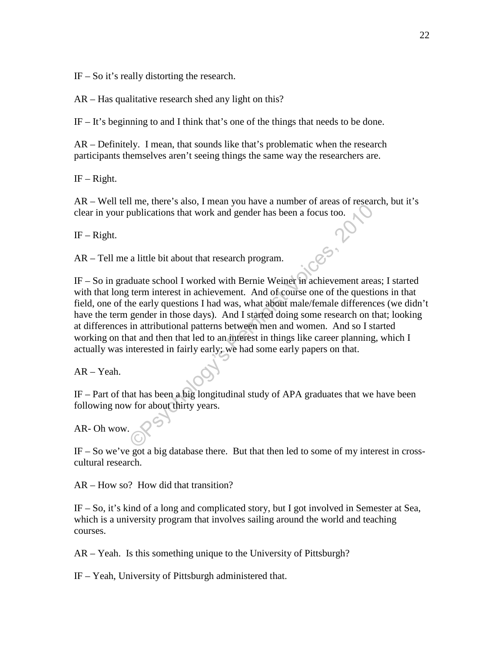IF – So it's really distorting the research.

AR – Has qualitative research shed any light on this?

IF – It's beginning to and I think that's one of the things that needs to be done.

AR – Definitely. I mean, that sounds like that's problematic when the research participants themselves aren't seeing things the same way the researchers are.

IF – Right.

AR – Well tell me, there's also, I mean you have a number of areas of research, but it's clear in your publications that work and gender has been a focus too.

IF – Right.

AR – Tell me a little bit about that research program.

The state of the state of the state of the state of the state of the sublications that work and gender has been a focus too.<br>
a little bit about that research program.<br>
duate school I worked with Bernie Weiner in achieveme IF – So in graduate school I worked with Bernie Weiner in achievement areas; I started with that long term interest in achievement. And of course one of the questions in that field, one of the early questions I had was, what about male/female differences (we didn't have the term gender in those days). And I started doing some research on that; looking at differences in attributional patterns between men and women. And so I started working on that and then that led to an interest in things like career planning, which I actually was interested in fairly early; we had some early papers on that.

AR – Yeah.

IF – Part of that has been a big longitudinal study of APA graduates that we have been following now for about thirty years.

AR- Oh wow.

IF – So we've got a big database there. But that then led to some of my interest in crosscultural research.

AR – How so? How did that transition?

IF – So, it's kind of a long and complicated story, but I got involved in Semester at Sea, which is a university program that involves sailing around the world and teaching courses.

AR – Yeah. Is this something unique to the University of Pittsburgh?

IF – Yeah, University of Pittsburgh administered that.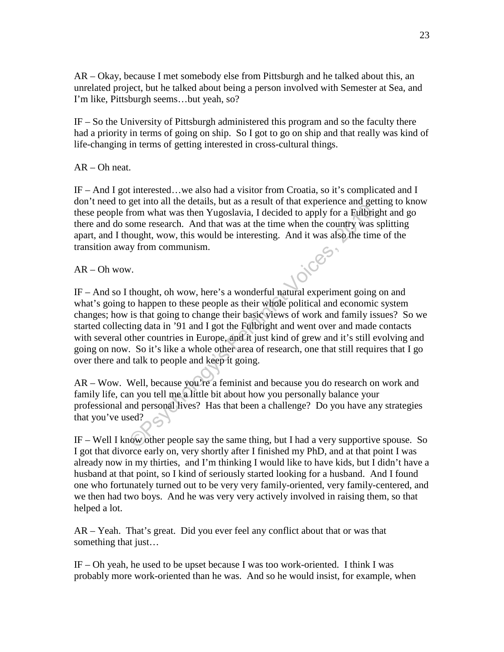AR – Okay, because I met somebody else from Pittsburgh and he talked about this, an unrelated project, but he talked about being a person involved with Semester at Sea, and I'm like, Pittsburgh seems…but yeah, so?

IF – So the University of Pittsburgh administered this program and so the faculty there had a priority in terms of going on ship. So I got to go on ship and that really was kind of life-changing in terms of getting interested in cross-cultural things.

AR – Oh neat.

IF – And I got interested…we also had a visitor from Croatia, so it's complicated and I don't need to get into all the details, but as a result of that experience and getting to know these people from what was then Yugoslavia, I decided to apply for a Fulbright and go there and do some research. And that was at the time when the country was splitting apart, and I thought, wow, this would be interesting. And it was also the time of the transition away from communism.

 $AR - Oh$  wow.

From what was then Yugoslavia, I decided to apply for a Fulbrigum<br>from what was then Yugoslavia, I decided to apply for a Fulbrig<br>ome research. And that was at the time when the country was sought, wow, this would be inter IF – And so I thought, oh wow, here's a wonderful natural experiment going on and what's going to happen to these people as their whole political and economic system changes; how is that going to change their basic views of work and family issues? So we started collecting data in '91 and I got the Fulbright and went over and made contacts with several other countries in Europe, and it just kind of grew and it's still evolving and going on now. So it's like a whole other area of research, one that still requires that I go over there and talk to people and keep it going.

AR – Wow. Well, because you're a feminist and because you do research on work and family life, can you tell me a little bit about how you personally balance your professional and personal lives? Has that been a challenge? Do you have any strategies that you've used?

IF – Well I know other people say the same thing, but I had a very supportive spouse. So I got that divorce early on, very shortly after I finished my PhD, and at that point I was already now in my thirties, and I'm thinking I would like to have kids, but I didn't have a husband at that point, so I kind of seriously started looking for a husband. And I found one who fortunately turned out to be very very family-oriented, very family-centered, and we then had two boys. And he was very very actively involved in raising them, so that helped a lot.

AR – Yeah. That's great. Did you ever feel any conflict about that or was that something that just…

IF – Oh yeah, he used to be upset because I was too work-oriented. I think I was probably more work-oriented than he was. And so he would insist, for example, when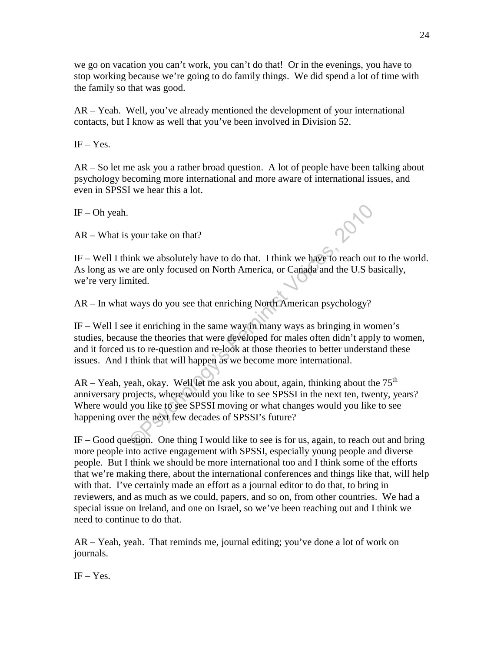we go on vacation you can't work, you can't do that! Or in the evenings, you have to stop working because we're going to do family things. We did spend a lot of time with the family so that was good.

AR – Yeah. Well, you've already mentioned the development of your international contacts, but I know as well that you've been involved in Division 52.

 $IF - Yes.$ 

AR – So let me ask you a rather broad question. A lot of people have been talking about psychology becoming more international and more aware of international issues, and even in SPSSI we hear this a lot.

 $IF - Oh$  yeah.

AR – What is your take on that?

IF – Well I think we absolutely have to do that. I think we have to reach out to the world. As long as we are only focused on North America, or Canada and the U.S basically, we're very limited.

AR – In what ways do you see that enriching North American psychology?

IF – Well I see it enriching in the same way in many ways as bringing in women's studies, because the theories that were developed for males often didn't apply to women, and it forced us to re-question and re-look at those theories to better understand these issues. And I think that will happen as we become more international.

Solution to that?<br>
Your take on that?<br>
Think we absolutely have to do that. I think we have to reach out<br>
are only focused on North America, or Canada and the U.S ba<br>
inted.<br>
ways do you see that enriching North American p  $AR - Yeah$ , yeah, okay. Well let me ask you about, again, thinking about the  $75<sup>th</sup>$ anniversary projects, where would you like to see SPSSI in the next ten, twenty, years? Where would you like to see SPSSI moving or what changes would you like to see happening over the next few decades of SPSSI's future?

IF – Good question. One thing I would like to see is for us, again, to reach out and bring more people into active engagement with SPSSI, especially young people and diverse people. But I think we should be more international too and I think some of the efforts that we're making there, about the international conferences and things like that, will help with that. I've certainly made an effort as a journal editor to do that, to bring in reviewers, and as much as we could, papers, and so on, from other countries. We had a special issue on Ireland, and one on Israel, so we've been reaching out and I think we need to continue to do that.

AR – Yeah, yeah. That reminds me, journal editing; you've done a lot of work on journals.

 $IF - Yes.$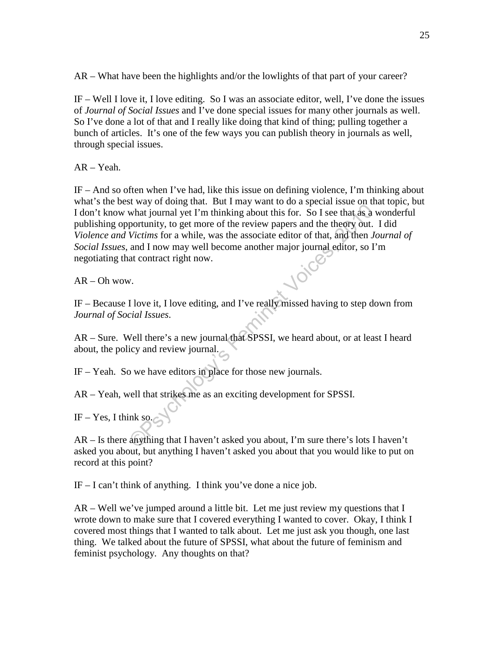AR – What have been the highlights and/or the lowlights of that part of your career?

IF – Well I love it, I love editing. So I was an associate editor, well, I've done the issues of *Journal of Social Issues* and I've done special issues for many other journals as well. So I've done a lot of that and I really like doing that kind of thing; pulling together a bunch of articles. It's one of the few ways you can publish theory in journals as well, through special issues.

AR – Yeah.

From the act of the trial what is the completed what is the state of the trial what is formal yet I'm thinking about this for. So I see that as a vertion portunity, to get more of the review papers and the theory out.<br>Vict IF – And so often when I've had, like this issue on defining violence, I'm thinking about what's the best way of doing that. But I may want to do a special issue on that topic, but I don't know what journal yet I'm thinking about this for. So I see that as a wonderful publishing opportunity, to get more of the review papers and the theory out. I did *Violence and Victims* for a while, was the associate editor of that, and then *Journal of Social Issues*, and I now may well become another major journal editor, so I'm negotiating that contract right now.

 $AR - Oh$  wow.

IF – Because I love it, I love editing, and I've really missed having to step down from *Journal of Social Issues*.

AR – Sure. Well there's a new journal that SPSSI, we heard about, or at least I heard about, the policy and review journal.

IF – Yeah. So we have editors in place for those new journals.

AR – Yeah, well that strikes me as an exciting development for SPSSI.

IF – Yes, I think so.

AR – Is there anything that I haven't asked you about, I'm sure there's lots I haven't asked you about, but anything I haven't asked you about that you would like to put on record at this point?

IF – I can't think of anything. I think you've done a nice job.

AR – Well we've jumped around a little bit. Let me just review my questions that I wrote down to make sure that I covered everything I wanted to cover. Okay, I think I covered most things that I wanted to talk about. Let me just ask you though, one last thing. We talked about the future of SPSSI, what about the future of feminism and feminist psychology. Any thoughts on that?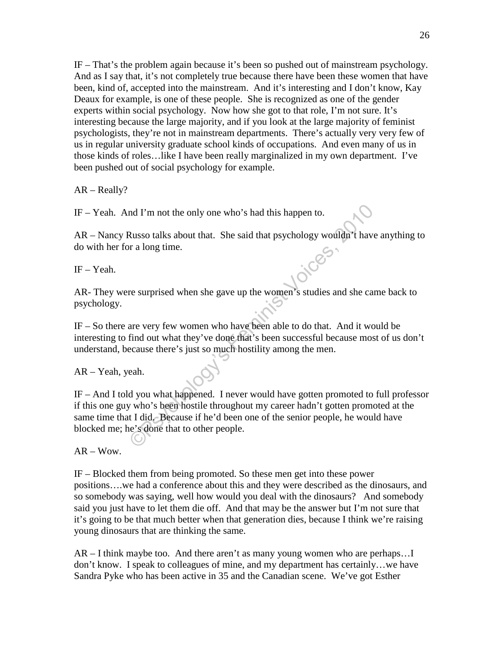IF – That's the problem again because it's been so pushed out of mainstream psychology. And as I say that, it's not completely true because there have been these women that have been, kind of, accepted into the mainstream. And it's interesting and I don't know, Kay Deaux for example, is one of these people. She is recognized as one of the gender experts within social psychology. Now how she got to that role, I'm not sure. It's interesting because the large majority, and if you look at the large majority of feminist psychologists, they're not in mainstream departments. There's actually very very few of us in regular university graduate school kinds of occupations. And even many of us in those kinds of roles…like I have been really marginalized in my own department. I've been pushed out of social psychology for example.

AR – Really?

IF – Yeah. And I'm not the only one who's had this happen to.

AR – Nancy Russo talks about that. She said that psychology wouldn't have anything to do with her for a long time.

IF – Yeah.

AR- They were surprised when she gave up the women's studies and she came back to psychology.

IF – So there are very few women who have been able to do that. And it would be interesting to find out what they've done that's been successful because most of us don't understand, because there's just so much hostility among the men.

AR – Yeah, yeah.

nd I'm not the only one who's had this happen to.<br>
Russo talks about that. She said that psychology wouldn't have<br>
r a long time.<br>
re surprised when she gave up the women's studies and she can<br>
are very few women who have IF – And I told you what happened. I never would have gotten promoted to full professor if this one guy who's been hostile throughout my career hadn't gotten promoted at the same time that I did. Because if he'd been one of the senior people, he would have blocked me; he's done that to other people.

 $AR - Wow$ .

IF – Blocked them from being promoted. So these men get into these power positions….we had a conference about this and they were described as the dinosaurs, and so somebody was saying, well how would you deal with the dinosaurs? And somebody said you just have to let them die off. And that may be the answer but I'm not sure that it's going to be that much better when that generation dies, because I think we're raising young dinosaurs that are thinking the same.

AR – I think maybe too. And there aren't as many young women who are perhaps…I don't know. I speak to colleagues of mine, and my department has certainly…we have Sandra Pyke who has been active in 35 and the Canadian scene. We've got Esther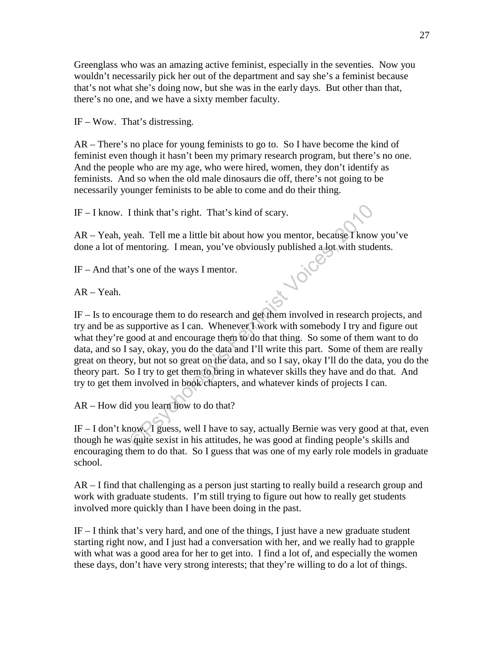Greenglass who was an amazing active feminist, especially in the seventies. Now you wouldn't necessarily pick her out of the department and say she's a feminist because that's not what she's doing now, but she was in the early days. But other than that, there's no one, and we have a sixty member faculty.

IF – Wow. That's distressing.

AR – There's no place for young feminists to go to. So I have become the kind of feminist even though it hasn't been my primary research program, but there's no one. And the people who are my age, who were hired, women, they don't identify as feminists. And so when the old male dinosaurs die off, there's not going to be necessarily younger feminists to be able to come and do their thing.

IF – I know. I think that's right. That's kind of scary.

AR – Yeah, yeah. Tell me a little bit about how you mentor, because I know you've done a lot of mentoring. I mean, you've obviously published a lot with students.<br>IF – And that's one of the ways I mentor.<br>AR – Yeah.

IF – And that's one of the ways I mentor.

AR – Yeah.

I think that's right. That's kind of scary.<br>
eah. Tell me a little bit about how you mentor, because I know<br>
mentoring. I mean, you've obviously published a lot with stude<br>
"s one of the ways I mentor.<br>
"So some of the way IF – Is to encourage them to do research and get them involved in research projects, and try and be as supportive as I can. Whenever I work with somebody I try and figure out what they're good at and encourage them to do that thing. So some of them want to do data, and so I say, okay, you do the data and I'll write this part. Some of them are really great on theory, but not so great on the data, and so I say, okay I'll do the data, you do the theory part. So I try to get them to bring in whatever skills they have and do that. And try to get them involved in book chapters, and whatever kinds of projects I can.

AR – How did you learn how to do that?

IF – I don't know. I guess, well I have to say, actually Bernie was very good at that, even though he was quite sexist in his attitudes, he was good at finding people's skills and encouraging them to do that. So I guess that was one of my early role models in graduate school.

AR – I find that challenging as a person just starting to really build a research group and work with graduate students. I'm still trying to figure out how to really get students involved more quickly than I have been doing in the past.

 $IF - I$  think that's very hard, and one of the things, I just have a new graduate student starting right now, and I just had a conversation with her, and we really had to grapple with what was a good area for her to get into. I find a lot of, and especially the women these days, don't have very strong interests; that they're willing to do a lot of things.